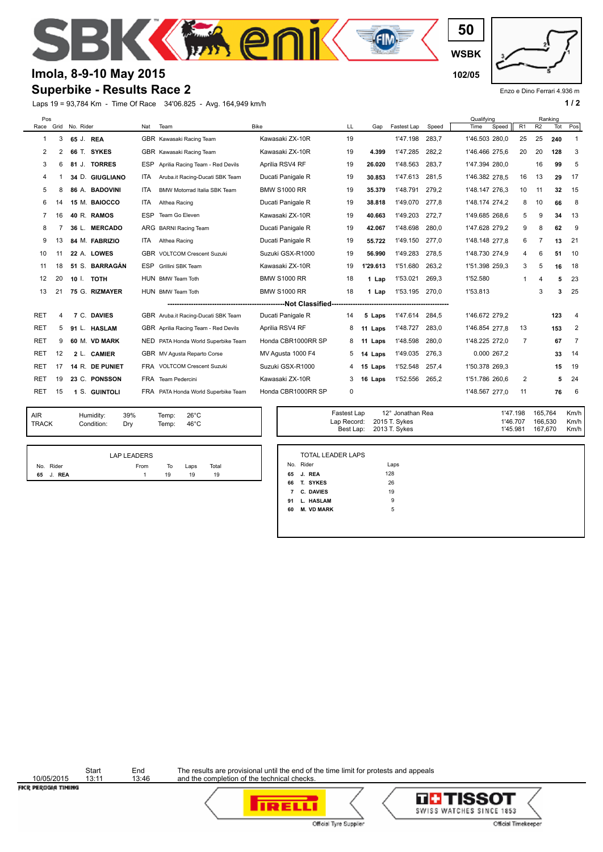**WSBK**

**EM** 

**50**

## **Imola, 8-9-10 May 2015 102/05 102/05**

## **Superbike - Results Race 2**

Laps 19 = 93,784 Km - Time Of Race 34'06.825 - Avg. 164,949 km/h **1 and 2 1 and 2 1 a 1 a 1 a 1 a 1 a 1 a 1 a 1 a 1 a 1 a 1 a 1 a 1 a 1 a 1 a 1 a 1 a 1 a 1 a 1 a 1 a 1 a 1 a** 

. P

Enzo e Dino Ferrari 4.936 m

| Pos        |    |                      |            |                                      |                     |          |          |             |       | Qualifying     |       |    |                | Ranking |                |
|------------|----|----------------------|------------|--------------------------------------|---------------------|----------|----------|-------------|-------|----------------|-------|----|----------------|---------|----------------|
|            |    | Race Grid No. Rider  | Nat        | Team                                 | <b>Bike</b>         | LL       | Gap      | Fastest Lap | Speed | Time           | Speed | R1 | R <sub>2</sub> | Tot     | Pos            |
| 1          | 3  | 65 J. REA            |            | GBR Kawasaki Racing Team             | Kawasaki ZX-10R     | 19       |          | 1'47.198    | 283.7 | 1'46.503 280.0 |       | 25 | 25             | 240     | 1              |
| 2          | 2  | 66 T. SYKES          |            | GBR Kawasaki Racing Team             | Kawasaki ZX-10R     | 19       | 4.399    | 1'47.285    | 282.2 | 1'46.466 275,6 |       | 20 | 20             | 128     | 3              |
| 3          | 6  | 81 J. TORRES         | ESP        | Aprilia Racing Team - Red Devils     | Aprilia RSV4 RF     | 19       | 26.020   | 1'48.563    | 283.7 | 1'47.394 280,0 |       |    | 16             | 99      | 5              |
| 4          |    | 34 D. GIUGLIANO      | <b>ITA</b> | Aruba.it Racing-Ducati SBK Team      | Ducati Panigale R   | 19       | 30.853   | 1'47.613    | 281.5 | 1'46.382 278.5 |       | 16 | 13             | 29      | 17             |
| 5          |    | 86 A. BADOVINI       | <b>ITA</b> | BMW Motorrad Italia SBK Team         | <b>BMW S1000 RR</b> | 19       | 35.379   | 1'48.791    | 279.2 | 1'48.147 276,3 |       | 10 | 11             | 32      | 15             |
| 6          | 14 | 15 M. BAIOCCO        | ITA        | Althea Racing                        | Ducati Panigale R   | 19       | 38.818   | 1'49.070    | 277,8 | 1'48.174 274,2 |       | 8  | 10             | 66      | - 8            |
| 7          | 16 | 40 R. RAMOS          | <b>ESP</b> | Team Go Eleven                       | Kawasaki ZX-10R     | 19       | 40.663   | 1'49.203    | 272.7 | 1'49.685 268,6 |       | 5  | 9              | 34      | 13             |
| 8          |    | 36 L. MERCADO        |            | ARG BARNI Racing Team                | Ducati Panigale R   | 19       | 42.067   | 1'48.698    | 280.0 | 1'47.628 279.2 |       | 9  | 8              | 62      | -9             |
| 9          | 13 | 84 M. FABRIZIO       | ITA        | Althea Racing                        | Ducati Panigale R   | 19       | 55.722   | 1'49.150    | 277,0 | 1'48.148 277,8 |       | 6  | 7              | 13      | 21             |
| 10         | 11 | 22 A. LOWES          |            | <b>GBR</b> VOLTCOM Crescent Suzuki   | Suzuki GSX-R1000    | 19       | 56.990   | 1'49.283    | 278.5 | 1'48.730 274.9 |       | 4  | 6              | 51      | 10             |
| 11         | 18 | 51 S. BARRAGÁN       |            | ESP Grillini SBK Team                | Kawasaki ZX-10R     | 19       | 1'29.613 | 1'51.680    | 263.2 | 1'51.398 259.3 |       | 3  | 5              | 16      | 18             |
| 12         | 20 | <b>TOTH</b><br>10 I. |            | HUN BMW Team Toth                    | <b>BMW S1000 RR</b> | 18       | 1 Lap    | 1'53.021    | 269,3 | 1'52.580       |       | 1  | 4              | 5       | 23             |
| 13         | 21 | 75 G. RIZMAYER       |            | HUN BMW Team Toth                    | <b>BMW S1000 RR</b> | 18       | 1 Lap    | 1'53.195    | 270,0 | 1'53.813       |       |    | 3              | 3       | 25             |
|            |    |                      |            |                                      |                     |          |          |             |       |                |       |    |                |         |                |
| <b>RET</b> | Δ  | 7 C. DAVIES          |            | GBR Aruba.it Racing-Ducati SBK Team  | Ducati Panigale R   | 14       | 5 Laps   | 1'47.614    | 284.5 | 1'46.672 279.2 |       |    |                | 123     | $\overline{4}$ |
| <b>RET</b> | 5  | 91 L. HASLAM         |            | GBR Aprilia Racing Team - Red Devils | Aprilia RSV4 RF     | 8        | 11 Laps  | 1'48.727    | 283.0 | 1'46.854 277.8 |       | 13 |                | 153     | 2              |
| <b>RET</b> | 9  | 60 M. VD MARK        |            | NED PATA Honda World Superbike Team  | Honda CBR1000RR SP  | 8        | 11 Laps  | 1'48.598    | 280.0 | 1'48.225 272,0 |       | 7  |                | 67      | $\overline{7}$ |
| <b>RET</b> | 12 | <b>CAMIER</b><br>2L  |            | GBR MV Agusta Reparto Corse          | MV Agusta 1000 F4   | 5        | 14 Laps  | 1'49.035    | 276.3 | 0.000 267,2    |       |    |                | 33      | 14             |
| <b>RET</b> | 17 | 14 R. DE PUNIET      |            | FRA VOLTCOM Crescent Suzuki          | Suzuki GSX-R1000    |          | 15 Laps  | 1'52.548    | 257.4 | 1'50.378 269,3 |       |    |                | 15      | 19             |
| RET        | 19 | 23 C. PONSSON        |            | FRA Team Pedercini                   | Kawasaki ZX-10R     | 3        | 16 Laps  | 1'52.556    | 265,2 | 1'51.786 260,6 |       | 2  |                | 5       | 24             |
| <b>RET</b> | 15 | 1 S. GUINTOLI        |            | FRA PATA Honda World Superbike Team  | Honda CBR1000RR SP  | $\Omega$ |          |             |       | 1'48.567 277.0 |       | 11 |                | 76      | 6              |

| <b>TRACK</b> | Condition: | Drv                | Temp: | $46^{\circ}$ C |       |  |
|--------------|------------|--------------------|-------|----------------|-------|--|
|              |            |                    |       |                |       |  |
|              |            | <b>LAP LEADERS</b> |       |                |       |  |
| No. Rider    |            | From               | To    | Laps           | Total |  |
| J. REA<br>65 |            | 1                  | 19    | 19             | 19    |  |

39% 26°C Temp:

| Temp:<br>26°C<br>166.530<br>Km/h<br>1'46.707<br>Lap Record: 2015 T. Sykes<br>Temp:<br>46°C<br>167.670<br>Km/h<br>Best Lap: 2013 T. Sykes<br>1'45.981 |
|------------------------------------------------------------------------------------------------------------------------------------------------------|
|------------------------------------------------------------------------------------------------------------------------------------------------------|

|    | TOTAL LEADER LAPS |      |
|----|-------------------|------|
|    | No. Rider         | Laps |
|    | 65 J. REA         | 128  |
|    | 66 T. SYKES       | 26   |
|    | 7 C. DAVIES       | 19   |
| 91 | L. HASLAM         | 9    |
| 60 | <b>M. VD MARK</b> | 5    |
|    |                   |      |

10/05/2015<br>FICR PERUGIA TIMING

AIR Humidity:

Start End<br>13:11 13:46

The results are provisional until the end of the time limit for protests and appeals and the completion of the technical checks.

**TRELLI** Official Tyre Supplier